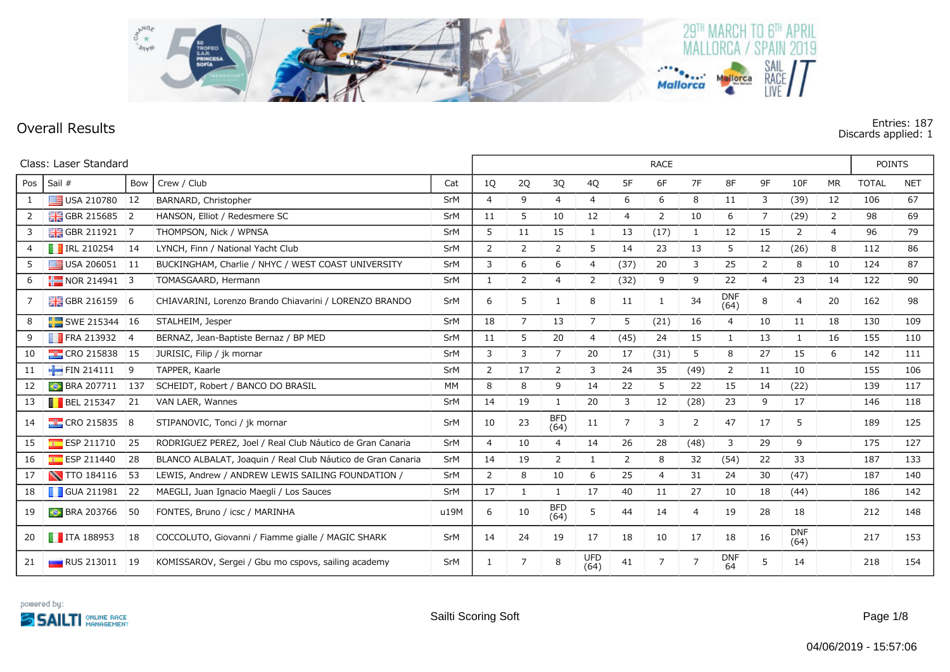

## **Overall Results Entries: 187 Discards applied: 1**

|                | Class: Laser Standard          |                |                                                             |           |                |                |                    | <b>RACE</b>        |                |                |                |                    |                |                    | <b>POINTS</b>  |              |            |
|----------------|--------------------------------|----------------|-------------------------------------------------------------|-----------|----------------|----------------|--------------------|--------------------|----------------|----------------|----------------|--------------------|----------------|--------------------|----------------|--------------|------------|
| Pos            | Sail #                         | Bow            | Crew / Club                                                 | Cat       | 1Q             | 2Q             | 3Q                 | 4Q                 | 5F             | 6F             | 7F             | 8F                 | 9F             | 10F                | <b>MR</b>      | <b>TOTAL</b> | <b>NET</b> |
| 1              | USA 210780 12                  |                | BARNARD, Christopher                                        | SrM       | $\overline{4}$ | 9              | $\overline{4}$     | 4                  | 6              | 6              | 8              | 11                 | 3              | (39)               | 12             | 106          | 67         |
| $\overline{2}$ | GBR 215685 2                   |                | HANSON, Elliot / Redesmere SC                               | SrM       | 11             | 5              | 10                 | 12                 | $\overline{4}$ | $\overline{2}$ | 10             | 6                  | 7              | (29)               | $\overline{2}$ | 98           | 69         |
| 3              | <b>HE GBR 211921</b>           | $\overline{7}$ | THOMPSON, Nick / WPNSA                                      | SrM       | 5              | 11             | 15                 | $\mathbf{1}$       | 13             | (17)           | 1              | 12                 | 15             | 2                  | 4              | 96           | 79         |
| 4              | $\blacksquare$ IRL 210254      | 14             | LYNCH, Finn / National Yacht Club                           | SrM       | $\overline{2}$ | 2              | $\overline{2}$     | 5                  | 14             | 23             | 13             | 5                  | 12             | (26)               | 8              | 112          | 86         |
| 5              | $\blacksquare$ USA 206051 11   |                | BUCKINGHAM, Charlie / NHYC / WEST COAST UNIVERSITY          | SrM       | 3              | 6              | 6                  | 4                  | (37)           | 20             | 3              | 25                 | 2              | 8                  | 10             | 124          | 87         |
| 6              | $NOR 214941$ 3                 |                | TOMASGAARD, Hermann                                         | SrM       | 1              | 2              | 4                  | 2                  | (32)           | 9              | 9              | 22                 | $\overline{4}$ | 23                 | 14             | 122          | 90         |
| 7              | <b>H</b> GBR 216159            | 6              | CHIAVARINI, Lorenzo Brando Chiavarini / LORENZO BRANDO      | SrM       | 6              | 5              | $\mathbf{1}$       | 8                  | 11             | -1             | 34             | <b>DNF</b><br>(64) | 8              | 4                  | 20             | 162          | 98         |
| 8              | $\blacksquare$ SWE 215344   16 |                | STALHEIM, Jesper                                            | SrM       | 18             | $\overline{7}$ | 13                 | $\overline{7}$     | 5              | (21)           | 16             | $\overline{4}$     | 10             | 11                 | 18             | 130          | 109        |
| 9              | <b>FRA 213932</b> 4            |                | BERNAZ, Jean-Baptiste Bernaz / BP MED                       | SrM       | 11             | 5              | 20                 | 4                  | (45)           | 24             | 15             | 1                  | 13             | 1                  | 16             | 155          | 110        |
| 10             | $\frac{1}{2}$ CRO 215838       | 15             | JURISIC, Filip / jk mornar                                  | SrM       | 3              | 3              | $\overline{7}$     | 20                 | 17             | (31)           | 5              | 8                  | 27             | 15                 | 6              | 142          | 111        |
| 11             | FIN 214111                     | 9              | TAPPER, Kaarle                                              | SrM       | $\overline{2}$ | 17             | 2                  | 3                  | 24             | 35             | (49)           | $\overline{2}$     | 11             | 10                 |                | 155          | 106        |
| 12             | <b>BRA 207711</b>              | 137            | SCHEIDT, Robert / BANCO DO BRASIL                           | <b>MM</b> | 8              | 8              | 9                  | 14                 | 22             | 5              | 22             | 15                 | 14             | (22)               |                | 139          | 117        |
| 13             | $\blacksquare$ BEL 215347      | 21             | VAN LAER, Wannes                                            | SrM       | 14             | 19             | 1                  | 20                 | 3              | 12             | (28)           | 23                 | 9              | 17                 |                | 146          | 118        |
| 14             | $\frac{1}{2}$ CRO 215835 8     |                | STIPANOVIC, Tonci / jk mornar                               | SrM       | 10             | 23             | <b>BFD</b><br>(64) | 11                 | $\overline{7}$ | 3              | 2              | 47                 | 17             | 5                  |                | 189          | 125        |
| 15             | ESP 211710                     | 25             | RODRIGUEZ PEREZ, Joel / Real Club Náutico de Gran Canaria   | SrM       | $\overline{4}$ | 10             | $\overline{4}$     | 14                 | 26             | 28             | (48)           | 3                  | 29             | 9                  |                | 175          | 127        |
| 16             | ESP 211440                     | 28             | BLANCO ALBALAT, Joaquin / Real Club Náutico de Gran Canaria | SrM       | 14             | 19             | $\overline{2}$     | 1                  | 2              | 8              | 32             | (54)               | 22             | 33                 |                | 187          | 133        |
| 17             | <b>N</b> TTO 184116            | 53             | LEWIS, Andrew / ANDREW LEWIS SAILING FOUNDATION /           | SrM       | 2              | 8              | 10                 | 6                  | 25             | $\overline{4}$ | 31             | 24                 | 30             | (47)               |                | 187          | 140        |
| 18             | GUA 211981 22                  |                | MAEGLI, Juan Ignacio Maegli / Los Sauces                    | SrM       | 17             | 1              | 1                  | 17                 | 40             | 11             | 27             | 10                 | 18             | (44)               |                | 186          | 142        |
| 19             | <b>BRA 203766</b>              | 50             | FONTES, Bruno / icsc / MARINHA                              | u19M      | 6              | 10             | <b>BFD</b><br>(64) | 5                  | 44             | 14             | $\overline{4}$ | 19                 | 28             | 18                 |                | 212          | 148        |
| 20             | $\blacksquare$ ITA 188953      | 18             | COCCOLUTO, Giovanni / Fiamme gialle / MAGIC SHARK           | SrM       | 14             | 24             | 19                 | 17                 | 18             | 10             | 17             | 18                 | 16             | <b>DNF</b><br>(64) |                | 217          | 153        |
| 21             | <b>RUS 213011</b>              | 19             | KOMISSAROV, Sergei / Gbu mo cspovs, sailing academy         | SrM       | -1             | 7              | 8                  | <b>UFD</b><br>(64) | 41             |                | $\overline{7}$ | <b>DNF</b><br>64   | 5              | 14                 |                | 218          | 154        |

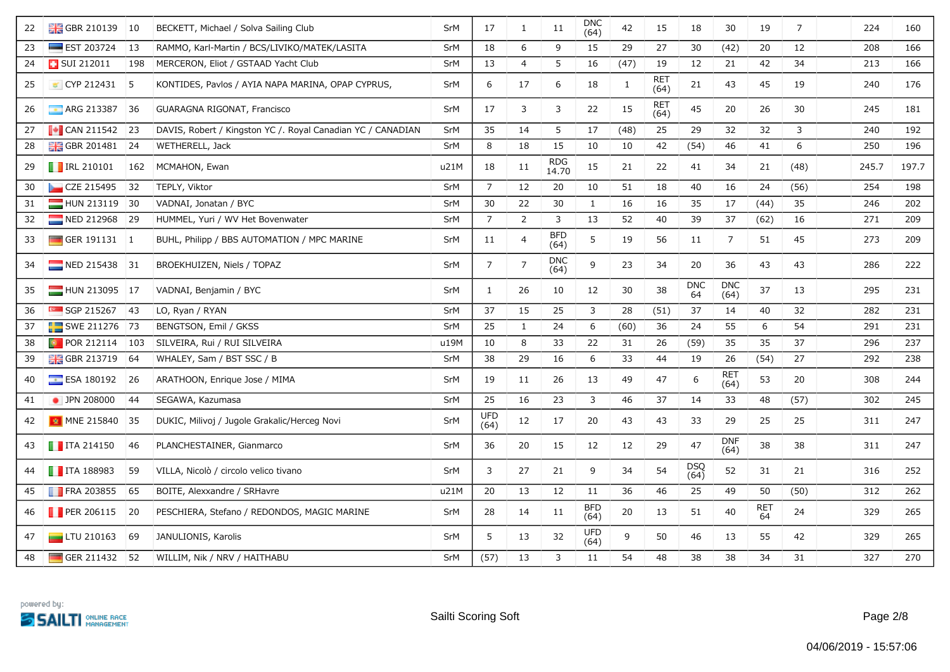| 22 | GBR 210139 10             |               | BECKETT, Michael / Solva Sailing Club                       | <b>SrM</b> | 17                 | $\mathbf{1}$   | $11\,$              | <b>DNC</b><br>(64) | 42   | 15                 | 18               | 30                 | 19        | $\overline{7}$ | 224   | 160   |
|----|---------------------------|---------------|-------------------------------------------------------------|------------|--------------------|----------------|---------------------|--------------------|------|--------------------|------------------|--------------------|-----------|----------------|-------|-------|
| 23 | $\equiv$ EST 203724       | 13            | RAMMO, Karl-Martin / BCS/LIVIKO/MATEK/LASITA                | SrM        | 18                 | 6              | 9                   | 15                 | 29   | 27                 | 30               | (42)               | 20        | 12             | 208   | 166   |
| 24 | <b>B</b> SUI 212011       | 198           | MERCERON, Eliot / GSTAAD Yacht Club                         | SrM        | 13                 | $\overline{4}$ | 5                   | 16                 | (47) | 19                 | 12               | 21                 | 42        | 34             | 213   | 166   |
| 25 | $\bullet$ CYP 212431 5    |               | KONTIDES, Pavlos / AYIA NAPA MARINA, OPAP CYPRUS,           | SrM        | 6                  | 17             | 6                   | 18                 | 1    | <b>RET</b><br>(64) | 21               | 43                 | 45        | 19             | 240   | 176   |
| 26 | ARG 213387                | 36            | GUARAGNA RIGONAT, Francisco                                 | SrM        | 17                 | 3              | 3                   | 22                 | 15   | <b>RET</b><br>(64) | 45               | 20                 | 26        | 30             | 245   | 181   |
| 27 | $\blacksquare$ CAN 211542 | 23            | DAVIS, Robert / Kingston YC /. Royal Canadian YC / CANADIAN | SrM        | 35                 | 14             | 5                   | 17                 | (48) | 25                 | 29               | 32                 | 32        | 3              | 240   | 192   |
| 28 | <b>H</b> GBR 201481       | 24            | WETHERELL, Jack                                             | SrM        | 8                  | 18             | 15                  | 10                 | 10   | 42                 | (54)             | 46                 | 41        | 6              | 250   | 196   |
| 29 | <b>F</b> IRL 210101       | 162           | MCMAHON, Ewan                                               | u21M       | 18                 | 11             | <b>RDG</b><br>14.70 | 15                 | 21   | 22                 | 41               | 34                 | 21        | (48)           | 245.7 | 197.7 |
| 30 | CZE 215495                | 32            | TEPLY, Viktor                                               | <b>SrM</b> | $\overline{7}$     | 12             | 20                  | 10                 | 51   | 18                 | 40               | 16                 | 24        | (56)           | 254   | 198   |
| 31 | HUN 213119 30             |               | VADNAI, Jonatan / BYC                                       | SrM        | 30                 | 22             | 30                  | $\mathbf{1}$       | 16   | 16                 | 35               | 17                 | (44)      | 35             | 246   | 202   |
| 32 | NED 212968 29             |               | HUMMEL, Yuri / WV Het Bovenwater                            | SrM        | $\overline{7}$     | $\overline{2}$ | 3                   | 13                 | 52   | 40                 | 39               | 37                 | (62)      | 16             | 271   | 209   |
| 33 | GER 191131 1              |               | BUHL, Philipp / BBS AUTOMATION / MPC MARINE                 | SrM        | 11                 | $\overline{a}$ | <b>BFD</b><br>(64)  | 5                  | 19   | 56                 | 11               | $\overline{7}$     | 51        | 45             | 273   | 209   |
| 34 | NED 215438 31             |               | BROEKHUIZEN, Niels / TOPAZ                                  | <b>SrM</b> | $\overline{7}$     | $\overline{7}$ | <b>DNC</b><br>(64)  | 9                  | 23   | 34                 | 20               | 36                 | 43        | 43             | 286   | 222   |
| 35 | HUN 213095 17             |               | VADNAI, Benjamin / BYC                                      | SrM        | 1                  | 26             | 10                  | 12                 | 30   | 38                 | <b>DNC</b><br>64 | <b>DNC</b><br>(64) | 37        | 13             | 295   | 231   |
| 36 | $SGP$ 215267              | 43            | LO, Ryan / RYAN                                             | <b>SrM</b> | 37                 | 15             | 25                  | $\mathbf{3}$       | 28   | (51)               | 37               | 14                 | 40        | 32             | 282   | 231   |
| 37 | SWE 211276 73             |               | BENGTSON, Emil / GKSS                                       | SrM        | 25                 | $\mathbf{1}$   | 24                  | 6                  | (60) | 36                 | 24               | 55                 | 6         | 54             | 291   | 231   |
| 38 | <b>D</b> POR 212114       | $ 103\rangle$ | SILVEIRA, Rui / RUI SILVEIRA                                | u19M       | 10                 | 8              | 33                  | 22                 | 31   | 26                 | (59)             | 35                 | 35        | 37             | 296   | 237   |
| 39 | <b>H</b> GBR 213719       | 64            | WHALEY, Sam / BST SSC / B                                   | SrM        | 38                 | 29             | 16                  | 6                  | 33   | 44                 | 19               | 26                 | (54)      | 27             | 292   | 238   |
| 40 | $\blacksquare$ ESA 180192 | 26            | ARATHOON, Enrique Jose / MIMA                               | <b>SrM</b> | 19                 | 11             | 26                  | 13                 | 49   | 47                 | 6                | RET<br>(64)        | 53        | 20             | 308   | 244   |
| 41 | • JPN 208000              | 44            | SEGAWA, Kazumasa                                            | SrM        | 25                 | 16             | 23                  | $\mathbf{3}$       | 46   | 37                 | 14               | 33                 | 48        | (57)           | 302   | 245   |
| 42 | MNE 215840 35             |               | DUKIC, Milivoj / Jugole Grakalic/Herceg Novi                | SrM        | <b>UFD</b><br>(64) | 12             | 17                  | 20                 | 43   | 43                 | 33               | 29                 | 25        | 25             | 311   | 247   |
| 43 | $\blacksquare$ ITA 214150 | 46            | PLANCHESTAINER, Gianmarco                                   | <b>SrM</b> | 36                 | 20             | 15                  | 12                 | 12   | 29                 | 47               | <b>DNF</b><br>(64) | 38        | 38             | 311   | 247   |
| 44 | $\blacksquare$ ITA 188983 | 59            | VILLA, Nicolò / circolo velico tivano                       | SrM        | 3                  | 27             | 21                  | 9                  | 34   | 54                 | DSQ<br>(64)      | 52                 | 31        | 21             | 316   | 252   |
| 45 | <b>FRA 203855</b>         | 65            | BOITE, Alexxandre / SRHavre                                 | u21M       | 20                 | 13             | 12                  | 11                 | 36   | 46                 | 25               | 49                 | 50        | (50)           | 312   | 262   |
| 46 | <b>PER 206115</b>         | 20            | PESCHIERA, Stefano / REDONDOS, MAGIC MARINE                 | <b>SrM</b> | 28                 | 14             | 11                  | <b>BFD</b><br>(64) | 20   | 13                 | 51               | 40                 | RET<br>64 | 24             | 329   | 265   |
| 47 | $\Box$ LTU 210163         | 69            | JANULIONIS, Karolis                                         | SrM        | 5                  | 13             | 32                  | UFD<br>(64)        | 9    | 50                 | 46               | 13                 | 55        | 42             | 329   | 265   |
| 48 | GER 211432 52             |               | WILLIM, Nik / NRV / HAITHABU                                | <b>SrM</b> | (57)               | 13             | 3                   | 11                 | 54   | 48                 | 38               | 38                 | 34        | 31             | 327   | 270   |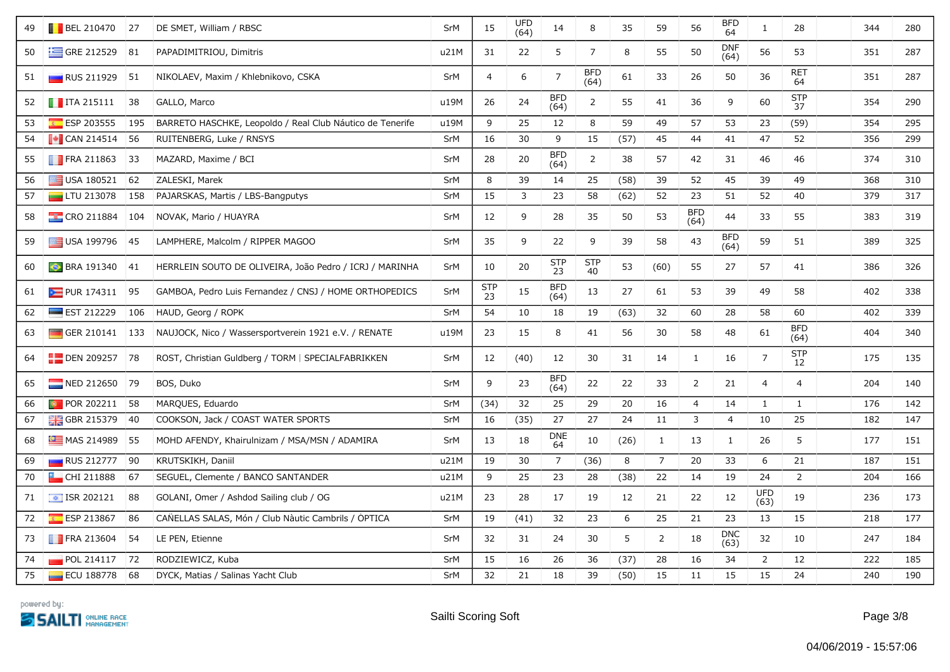| 49 | <b>BEL 210470</b> 27        |               | DE SMET, William / RBSC                                   | SrM        | 15               | <b>UFD</b><br>(64) | 14                 | 8                  | 35   | 59             | 56                 | <b>BFD</b><br>64   | $\mathbf{1}$       | 28                 | 344 | 280 |
|----|-----------------------------|---------------|-----------------------------------------------------------|------------|------------------|--------------------|--------------------|--------------------|------|----------------|--------------------|--------------------|--------------------|--------------------|-----|-----|
| 50 | $\equiv$ GRE 212529         | 81            | PAPADIMITRIOU, Dimitris                                   | u21M       | 31               | 22                 | 5                  | $\overline{7}$     | 8    | 55             | 50                 | <b>DNF</b><br>(64) | 56                 | 53                 | 351 | 287 |
| 51 | $\Box$ RUS 211929           | 51            | NIKOLAEV, Maxim / Khlebnikovo, CSKA                       | SrM        | $\overline{4}$   | 6                  | $\overline{7}$     | <b>BFD</b><br>(64) | 61   | 33             | 26                 | 50                 | 36                 | <b>RET</b><br>64   | 351 | 287 |
| 52 | $\blacksquare$ ITA 215111   | 38            | GALLO, Marco                                              | u19M       | 26               | 24                 | <b>BFD</b><br>(64) | $\overline{2}$     | 55   | 41             | 36                 | 9                  | 60                 | <b>STP</b><br>37   | 354 | 290 |
| 53 | ESP 203555                  | 195           | BARRETO HASCHKE, Leopoldo / Real Club Náutico de Tenerife | u19M       | 9                | 25                 | 12                 | 8                  | 59   | 49             | 57                 | 53                 | 23                 | (59)               | 354 | 295 |
| 54 | $\blacksquare$ CAN 214514   | 56            | RUITENBERG, Luke / RNSYS                                  | SrM        | 16               | 30                 | 9                  | 15                 | (57) | 45             | 44                 | 41                 | 47                 | 52                 | 356 | 299 |
| 55 | <b>FRA 211863</b>           | 33            | MAZARD, Maxime / BCI                                      | SrM        | 28               | 20                 | <b>BFD</b><br>(64) | $\overline{2}$     | 38   | 57             | 42                 | 31                 | 46                 | 46                 | 374 | 310 |
| 56 | USA 180521                  | 62            | ZALESKI, Marek                                            | SrM        | 8                | 39                 | 14                 | 25                 | (58) | 39             | 52                 | 45                 | 39                 | 49                 | 368 | 310 |
| 57 | $\Box$ LTU 213078           | 158           | PAJARSKAS, Martis / LBS-Bangputys                         | SrM        | 15               | 3                  | 23                 | 58                 | (62) | 52             | 23                 | 51                 | 52                 | 40                 | 379 | 317 |
| 58 | $\frac{1}{2}$ CRO 211884    | 104           | NOVAK, Mario / HUAYRA                                     | SrM        | 12               | 9                  | 28                 | 35                 | 50   | 53             | <b>BFD</b><br>(64) | 44                 | 33                 | 55                 | 383 | 319 |
| 59 | USA 199796                  | 45            | LAMPHERE, Malcolm / RIPPER MAGOO                          | SrM        | 35               | 9                  | 22                 | 9                  | 39   | 58             | 43                 | <b>BFD</b><br>(64) | 59                 | 51                 | 389 | 325 |
| 60 | <b>BRA 191340</b>           | 41            | HERRLEIN SOUTO DE OLIVEIRA, João Pedro / ICRJ / MARINHA   | <b>SrM</b> | 10               | 20                 | <b>STP</b><br>23   | <b>STP</b><br>40   | 53   | (60)           | 55                 | 27                 | 57                 | 41                 | 386 | 326 |
| 61 | PUR 174311                  | 95            | GAMBOA, Pedro Luis Fernandez / CNSJ / HOME ORTHOPEDICS    | SrM        | <b>STP</b><br>23 | 15                 | <b>BFD</b><br>(64) | 13                 | 27   | 61             | 53                 | 39                 | 49                 | 58                 | 402 | 338 |
| 62 | $\equiv$ EST 212229         | 106           | HAUD, Georg / ROPK                                        | SrM        | 54               | 10                 | 18                 | 19                 | (63) | 32             | 60                 | 28                 | 58                 | 60                 | 402 | 339 |
| 63 | GER 210141                  | $ 133\rangle$ | NAUJOCK, Nico / Wassersportverein 1921 e.V. / RENATE      | u19M       | 23               | 15                 | $\bf 8$            | 41                 | 56   | $30\,$         | 58                 | 48                 | 61                 | <b>BFD</b><br>(64) | 404 | 340 |
| 64 | $\frac{1}{2}$ DEN 209257 78 |               | ROST, Christian Guldberg / TORM   SPECIALFABRIKKEN        | SrM        | 12               | (40)               | 12                 | 30                 | 31   | 14             | $\mathbf{1}$       | 16                 | $\overline{7}$     | <b>STP</b><br>12   | 175 | 135 |
| 65 | NED 212650                  | 79            | BOS, Duko                                                 | SrM        | 9                | 23                 | <b>BFD</b><br>(64) | 22                 | 22   | 33             | 2                  | 21                 | 4                  | 4                  | 204 | 140 |
| 66 | <b>POR 202211</b>           | 58            | MARQUES, Eduardo                                          | SrM        | (34)             | 32                 | 25                 | 29                 | 20   | 16             | $\overline{4}$     | 14                 | $\mathbf{1}$       | $\mathbf{1}$       | 176 | 142 |
| 67 | <b>H</b> GBR 215379         | 40            | COOKSON, Jack / COAST WATER SPORTS                        | SrM        | 16               | (35)               | 27                 | 27                 | 24   | 11             | 3                  | $\overline{4}$     | 10                 | 25                 | 182 | 147 |
| 68 | $M =$ MAS 214989            | 55            | MOHD AFENDY, Khairulnizam / MSA/MSN / ADAMIRA             | SrM        | 13               | 18                 | <b>DNE</b><br>64   | 10                 | (26) | $\mathbf{1}$   | 13                 | $\mathbf{1}$       | 26                 | 5                  | 177 | 151 |
| 69 | <b>RUS 212777</b>           | 90            | KRUTSKIKH, Daniil                                         | u21M       | 19               | 30                 | $\overline{7}$     | (36)               | 8    | $\overline{7}$ | 20                 | 33                 | 6                  | 21                 | 187 | 151 |
| 70 | CHI 211888                  | 67            | SEGUEL, Clemente / BANCO SANTANDER                        | u21M       | 9                | 25                 | 23                 | 28                 | (38) | 22             | 14                 | 19                 | 24                 | $\overline{2}$     | 204 | 166 |
| 71 | $\sqrt{121}$ ISR 202121     | 88            | GOLANI, Omer / Ashdod Sailing club / OG                   | u21M       | 23               | 28                 | 17                 | 19                 | 12   | 21             | 22                 | 12                 | <b>UFD</b><br>(63) | 19                 | 236 | 173 |
| 72 | ESP 213867                  | 86            | CAÑELLAS SALAS, Món / Club Nàutic Cambrils / OPTICA       | SrM        | 19               | (41)               | 32                 | 23                 | 6    | 25             | 21                 | 23                 | 13                 | 15                 | 218 | 177 |
| 73 | <b>FRA 213604</b>           | 54            | LE PEN, Etienne                                           | SrM        | 32               | 31                 | 24                 | 30                 | 5    | $\overline{2}$ | 18                 | <b>DNC</b><br>(63) | 32                 | 10                 | 247 | 184 |
| 74 | POL 214117                  | 72            | RODZIEWICZ, Kuba                                          | SrM        | 15               | 16                 | 26                 | 36                 | (37) | 28             | 16                 | 34                 | $\overline{2}$     | 12                 | 222 | 185 |
| 75 | ECU 188778                  | 68            | DYCK, Matias / Salinas Yacht Club                         | SrM        | 32               | 21                 | 18                 | 39                 | (50) | 15             | 11                 | 15                 | 15                 | 24                 | 240 | 190 |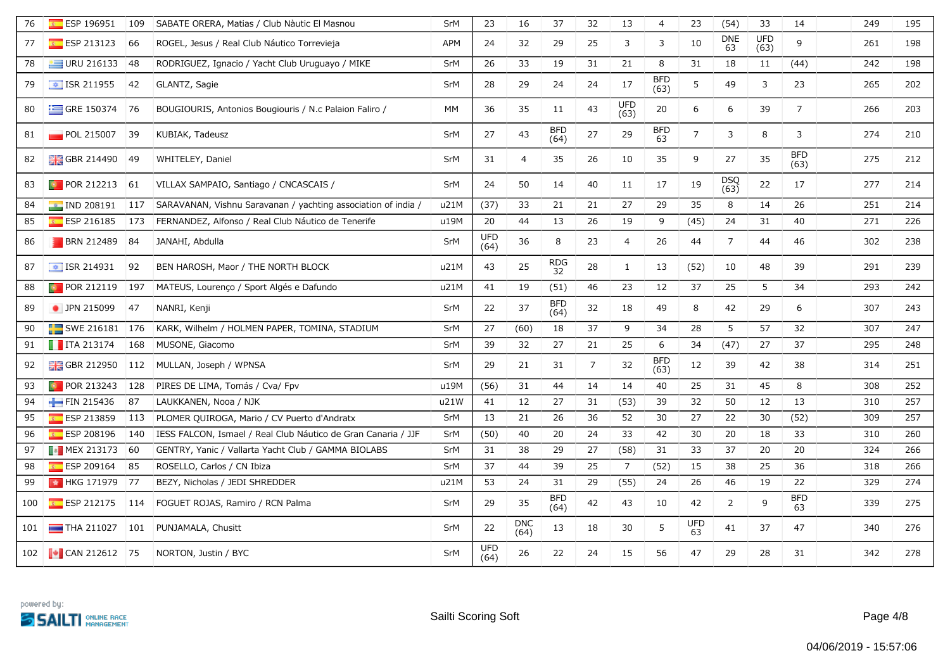| 76  | ESP 196951                    | 109 | SABATE ORERA, Matias / Club Nàutic El Masnou                  | SrM        | 23                 | 16                 | 37                 | 32 | 13          | 4                  | 23             | (54)               | 33                 | 14                 | 249 | 195 |
|-----|-------------------------------|-----|---------------------------------------------------------------|------------|--------------------|--------------------|--------------------|----|-------------|--------------------|----------------|--------------------|--------------------|--------------------|-----|-----|
| 77  | ESP 213123                    | 66  | ROGEL, Jesus / Real Club Náutico Torrevieja                   | <b>APM</b> | 24                 | 32                 | 29                 | 25 | 3           | 3                  | 10             | <b>DNE</b><br>63   | <b>UFD</b><br>(63) | 9                  | 261 | 198 |
| 78  | $U$ RU 216133                 | 48  | RODRIGUEZ, Ignacio / Yacht Club Uruguayo / MIKE               | SrM        | 26                 | 33                 | 19                 | 31 | 21          | 8                  | 31             | 18                 | 11                 | (44)               | 242 | 198 |
| 79  | $\boxed{\bullet}$ ISR 211955  | 42  | GLANTZ, Sagie                                                 | <b>SrM</b> | 28                 | 29                 | 24                 | 24 | 17          | <b>BFD</b><br>(63) | 5              | 49                 | 3                  | 23                 | 265 | 202 |
| 80  | $\equiv$ GRE 150374           | 76  | BOUGIOURIS, Antonios Bougiouris / N.c Palaion Faliro /        | <b>MM</b>  | 36                 | 35                 | 11                 | 43 | UFD<br>(63) | 20                 | 6              | 6                  | 39                 | $\overline{7}$     | 266 | 203 |
| 81  | POL 215007                    | 39  | KUBIAK, Tadeusz                                               | SrM        | 27                 | 43                 | <b>BFD</b><br>(64) | 27 | 29          | <b>BFD</b><br>63   | $\overline{7}$ | 3                  | 8                  | 3                  | 274 | 210 |
| 82  | <b>GBR</b> 214490             | 49  | WHITELEY, Daniel                                              | <b>SrM</b> | 31                 | $\overline{4}$     | 35                 | 26 | 10          | 35                 | 9              | 27                 | 35                 | <b>BFD</b><br>(63) | 275 | 212 |
| 83  | $\bullet$ POR 212213          | 61  | VILLAX SAMPAIO, Santiago / CNCASCAIS /                        | <b>SrM</b> | 24                 | 50                 | 14                 | 40 | 11          | 17                 | 19             | <b>DSQ</b><br>(63) | 22                 | 17                 | 277 | 214 |
| 84  | $\blacksquare$ IND 208191     | 117 | SARAVANAN, Vishnu Saravanan / yachting association of india / | u21M       | (37)               | 33                 | 21                 | 21 | 27          | 29                 | 35             | 8                  | 14                 | 26                 | 251 | 214 |
| 85  | $E = ESP 216185$              | 173 | FERNANDEZ, Alfonso / Real Club Náutico de Tenerife            | u19M       | 20                 | 44                 | 13                 | 26 | 19          | 9                  | (45)           | 24                 | 31                 | 40                 | 271 | 226 |
| 86  | <b>BRN 212489</b>             | 84  | JANAHI, Abdulla                                               | SrM        | <b>UFD</b><br>(64) | 36                 | 8                  | 23 | 4           | 26                 | 44             | $\overline{7}$     | 44                 | 46                 | 302 | 238 |
| 87  | $\boxed{\div}$ ISR 214931     | 92  | BEN HAROSH, Maor / THE NORTH BLOCK                            | u21M       | 43                 | 25                 | <b>RDG</b><br>32   | 28 | 1           | 13                 | (52)           | 10                 | 48                 | 39                 | 291 | 239 |
| 88  | $\blacksquare$ POR 212119     | 197 | MATEUS, Lourenço / Sport Algés e Dafundo                      | u21M       | 41                 | 19                 | (51)               | 46 | 23          | 12                 | 37             | 25                 | 5                  | 34                 | 293 | 242 |
| 89  | • JPN 215099                  | 47  | NANRI, Kenji                                                  | SrM        | 22                 | 37                 | <b>BFD</b><br>(64) | 32 | 18          | 49                 | 8              | 42                 | 29                 | 6                  | 307 | 243 |
| 90  | $\blacksquare$ SWE 216181     | 176 | KARK, Wilhelm / HOLMEN PAPER, TOMINA, STADIUM                 | <b>SrM</b> | 27                 | (60)               | 18                 | 37 | 9           | 34                 | 28             | 5                  | 57                 | 32                 | 307 | 247 |
| 91  | $\blacksquare$ ITA 213174     | 168 | MUSONE, Giacomo                                               | <b>SrM</b> | 39                 | 32                 | 27                 | 21 | 25          | 6                  | 34             | (47)               | 27                 | 37                 | 295 | 248 |
| 92  | <b>BH</b> GBR 212950 112      |     | MULLAN, Joseph / WPNSA                                        | SrM        | 29                 | 21                 | 31                 | 7  | 32          | <b>BFD</b><br>(63) | 12             | 39                 | 42                 | 38                 | 314 | 251 |
| 93  | $\blacksquare$ POR 213243     | 128 | PIRES DE LIMA, Tomás / Cva/ Fpv                               | u19M       | (56)               | 31                 | 44                 | 14 | 14          | 40                 | 25             | 31                 | 45                 | 8                  | 308 | 252 |
| 94  | FIN 215436                    | 87  | LAUKKANEN, Nooa / NJK                                         | u21W       | 41                 | 12                 | 27                 | 31 | (53)        | 39                 | 32             | 50                 | 12                 | 13                 | 310 | 257 |
| 95  | ESP 213859                    | 113 | PLOMER QUIROGA, Mario / CV Puerto d'Andratx                   | SrM        | 13                 | 21                 | 26                 | 36 | 52          | 30                 | 27             | 22                 | 30                 | (52)               | 309 | 257 |
| 96  | ESP 208196                    | 140 | IESS FALCÓN, Ismael / Real Club Náutico de Gran Canaria / JJF | SrM        | (50)               | 40                 | 20                 | 24 | 33          | 42                 | 30             | 20                 | 18                 | 33                 | 310 | 260 |
| 97  |                               | 60  | GENTRY, Yanic / Vallarta Yacht Club / GAMMA BIOLABS           | SrM        | 31                 | 38                 | 29                 | 27 | (58)        | 31                 | 33             | 37                 | 20                 | 20                 | 324 | 266 |
| 98  | $E$ ESP 209164                | 85  | ROSELLO, Carlos / CN Ibiza                                    | <b>SrM</b> | 37                 | 44                 | 39                 | 25 | 7           | (52)               | 15             | 38                 | 25                 | 36                 | 318 | 266 |
| 99  | <b>Ex HKG 171979</b> 77       |     | BEZY, Nicholas / JEDI SHREDDER                                | u21M       | 53                 | 24                 | 31                 | 29 | (55)        | 24                 | 26             | 46                 | 19                 | 22                 | 329 | 274 |
| 100 | $E$ ESP 212175                | 114 | FOGUET ROJAS, Ramiro / RCN Palma                              | SrM        | 29                 | 35                 | <b>BFD</b><br>(64) | 42 | 43          | 10                 | 42             | 2                  | 9                  | <b>BFD</b><br>63   | 339 | 275 |
| 101 | $\blacksquare$ THA 211027 101 |     | PUNJAMALA, Chusitt                                            | SrM        | 22                 | <b>DNC</b><br>(64) | 13                 | 18 | 30          | 5                  | UFD<br>63      | 41                 | 37                 | 47                 | 340 | 276 |
|     | 102 <b>CAN 212612</b> 75      |     | NORTON, Justin / BYC                                          | SrM        | <b>UFD</b><br>(64) | 26                 | 22                 | 24 | 15          | 56                 | 47             | 29                 | 28                 | 31                 | 342 | 278 |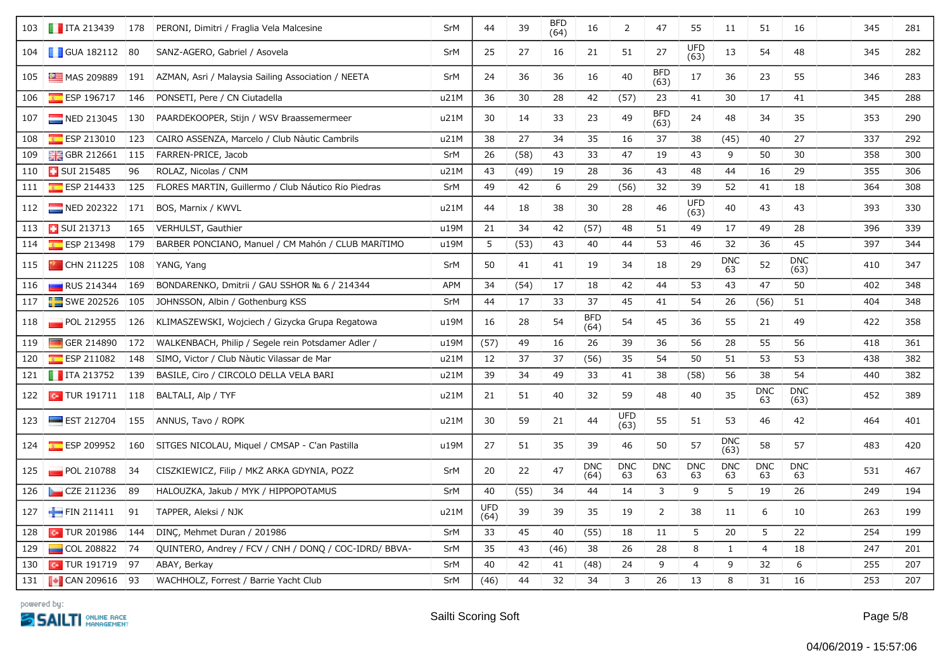|     | 103 <b>T</b> ITA 213439       | <b>178</b> | PERONI, Dimitri / Fraglia Vela Malcesine              | SrM        | 44          | 39   | <b>BFD</b><br>(64) | 16                 | $\overline{2}$     | 47                 | 55                 | 11                 | 51               | 16                 | 345 | 281 |
|-----|-------------------------------|------------|-------------------------------------------------------|------------|-------------|------|--------------------|--------------------|--------------------|--------------------|--------------------|--------------------|------------------|--------------------|-----|-----|
|     | 104 GUA 182112 80             |            | SANZ-AGERO, Gabriel / Asovela                         | SrM        | 25          | 27   | 16                 | 21                 | 51                 | 27                 | <b>UFD</b><br>(63) | 13                 | 54               | 48                 | 345 | 282 |
| 105 | $M =$ MAS 209889              | 191        | AZMAN, Asri / Malaysia Sailing Association / NEETA    | SrM        | 24          | 36   | 36                 | 16                 | 40                 | <b>BFD</b><br>(63) | 17                 | 36                 | 23               | 55                 | 346 | 283 |
| 106 | $E = ESP 196717$              | 146        | PONSETI, Pere / CN Ciutadella                         | u21M       | 36          | 30   | 28                 | 42                 | (57)               | 23                 | 41                 | 30                 | 17               | 41                 | 345 | 288 |
| 107 | NED 213045                    | 130        | PAARDEKOOPER, Stijn / WSV Braassemermeer              | u21M       | 30          | 14   | 33                 | 23                 | 49                 | <b>BFD</b><br>(63) | 24                 | 48                 | 34               | 35                 | 353 | 290 |
| 108 | ESP 213010                    | 123        | CAIRO ASSENZA, Marcelo / Club Nàutic Cambrils         | u21M       | 38          | 27   | 34                 | 35                 | 16                 | 37                 | 38                 | (45)               | 40               | 27                 | 337 | 292 |
| 109 | <b>H</b> GBR 212661           | 115        | FARREN-PRICE, Jacob                                   | <b>SrM</b> | 26          | (58) | 43                 | 33                 | 47                 | 19                 | 43                 | 9                  | 50               | 30                 | 358 | 300 |
| 110 | <b>B</b> SUI 215485           | 96         | ROLAZ, Nicolas / CNM                                  | u21M       | 43          | (49) | 19                 | 28                 | 36                 | 43                 | 48                 | 44                 | 16               | 29                 | 355 | 306 |
| 111 | $E = ESP 214433$              | 125        | FLORES MARTIN, Guillermo / Club Náutico Rio Piedras   | SrM        | 49          | 42   | 6                  | 29                 | (56)               | 32                 | 39                 | 52                 | 41               | 18                 | 364 | 308 |
|     | 112 NED 202322                | 171        | BOS, Marnix / KWVL                                    | u21M       | 44          | 18   | 38                 | 30                 | 28                 | 46                 | <b>UFD</b><br>(63) | 40                 | 43               | 43                 | 393 | 330 |
| 113 | SUI 213713                    | 165        | VERHULST, Gauthier                                    | u19M       | 21          | 34   | 42                 | (57)               | 48                 | 51                 | 49                 | 17                 | 49               | 28                 | 396 | 339 |
| 114 | ESP 213498                    | 179        | BARBER PONCIANO, Manuel / CM Mahón / CLUB MARÍTIMO    | u19M       | 5           | (53) | 43                 | 40                 | 44                 | 53                 | 46                 | 32                 | 36               | 45                 | 397 | 344 |
|     | 115 <b>Part CHN</b> 211225    | 108        | YANG, Yang                                            | SrM        | 50          | 41   | 41                 | 19                 | 34                 | 18                 | 29                 | <b>DNC</b><br>63   | 52               | <b>DNC</b><br>(63) | 410 | 347 |
| 116 | $\blacksquare$ RUS 214344     | 169        | BONDARENKO, Dmitrii / GAU SSHOR No. 6 / 214344        | <b>APM</b> | 34          | (54) | 17                 | 18                 | 42                 | 44                 | 53                 | 43                 | 47               | 50                 | 402 | 348 |
|     | 117 <b>SWE 202526</b>         | 105        | JOHNSSON, Albin / Gothenburg KSS                      | SrM        | 44          | 17   | 33                 | 37                 | 45                 | 41                 | 54                 | 26                 | (56)             | 51                 | 404 | 348 |
| 118 | POL 212955                    | 126        | KLIMASZEWSKI, Wojciech / Gizycka Grupa Regatowa       | u19M       | 16          | 28   | 54                 | <b>BFD</b><br>(64) | 54                 | 45                 | 36                 | 55                 | 21               | 49                 | 422 | 358 |
| 119 | GER 214890                    | 172        | WALKENBACH, Philip / Segele rein Potsdamer Adler /    | u19M       | (57)        | 49   | 16                 | 26                 | 39                 | 36                 | 56                 | 28                 | 55               | 56                 | 418 | 361 |
| 120 | ESP 211082                    | 148        | SIMÓ, Victor / Club Nàutic Vilassar de Mar            | u21M       | 12          | 37   | 37                 | (56)               | 35                 | 54                 | 50                 | 51                 | 53               | 53                 | 438 | 382 |
|     | 121 <b>T</b> ITA 213752       | 139        | BASILE, Ciro / CIRCOLO DELLA VELA BARI                | u21M       | 39          | 34   | 49                 | 33                 | 41                 | 38                 | (58)               | 56                 | 38               | 54                 | 440 | 382 |
|     | 122 <b>128</b> TUR 191711 118 |            | BALTALI, Alp / TYF                                    | u21M       | 21          | 51   | 40                 | 32                 | 59                 | 48                 | 40                 | 35                 | <b>DNC</b><br>63 | <b>DNC</b><br>(63) | 452 | 389 |
|     | 123 EST 212704                | 155        | ANNUS, Tavo / ROPK                                    | u21M       | 30          | 59   | 21                 | 44                 | <b>UFD</b><br>(63) | 55                 | 51                 | 53                 | 46               | 42                 | 464 | 401 |
| 124 | $E = ESP 209952$              | 160        | SITGES NICOLAU, Miquel / CMSAP - C'an Pastilla        | u19M       | 27          | 51   | 35                 | 39                 | 46                 | 50                 | 57                 | <b>DNC</b><br>(63) | 58               | 57                 | 483 | 420 |
| 125 | $\blacksquare$ POL 210788     | 34         | CISZKIEWICZ, Filip / MKZ ARKA GDYNIA, POZZ            | SrM        | 20          | 22   | 47                 | <b>DNC</b><br>(64) | <b>DNC</b><br>63   | <b>DNC</b><br>63   | <b>DNC</b><br>63   | <b>DNC</b><br>63   | <b>DNC</b><br>63 | <b>DNC</b><br>63   | 531 | 467 |
| 126 | $\sim$ CZE 211236             | 89         | HALOUZKA, Jakub / MYK / HIPPOPOTAMUS                  | SrM        | 40          | (55) | 34                 | 44                 | 14                 | 3                  | 9                  | 5                  | 19               | 26                 | 249 | 194 |
| 127 | $\blacksquare$ FIN 211411     | 91         | TAPPER, Aleksi / NJK                                  | u21M       | UFD<br>(64) | 39   | 39                 | 35                 | 19                 | $\overline{2}$     | 38                 | 11                 | 6                | 10                 | 263 | 199 |
| 128 | $\sim$ TUR 201986             | 144        | DINC, Mehmet Duran / 201986                           | SrM        | 33          | 45   | 40                 | (55)               | 18                 | 11                 | 5                  | 20                 | 5                | 22                 | 254 | 199 |
| 129 | $\Box$ COL 208822             | 74         | QUINTERO, Andrey / FCV / CNH / DONQ / COC-IDRD/ BBVA- | SrM        | 35          | 43   | (46)               | 38                 | 26                 | 28                 | $\,8\,$            | $\mathbf{1}$       | 4                | 18                 | 247 | 201 |
| 130 | $\sim$ TUR 191719             | 97         | ABAY, Berkay                                          | SrM        | 40          | 42   | 41                 | (48)               | 24                 | 9                  | $\overline{4}$     | 9                  | 32               | 6                  | 255 | 207 |
|     | 131   CAN 209616 93           |            | WACHHOLZ, Forrest / Barrie Yacht Club                 | SrM        | (46)        | 44   | 32                 | 34                 | 3                  | 26                 | 13                 | 8                  | 31               | 16                 | 253 | 207 |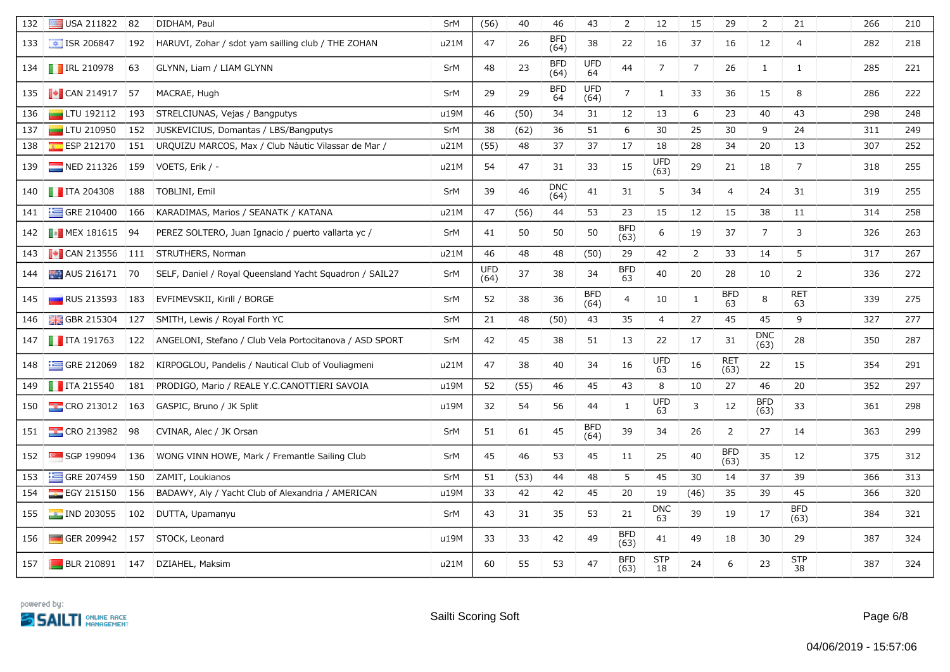| 132 | $\equiv$ USA 211822        | 82  | DIDHAM, Paul                                            | <b>SrM</b> | (56)               | 40   | 46                 | 43                 | 2                  | 12                 | 15             | 29                 | $\overline{2}$     | 21                 | 266 | 210 |
|-----|----------------------------|-----|---------------------------------------------------------|------------|--------------------|------|--------------------|--------------------|--------------------|--------------------|----------------|--------------------|--------------------|--------------------|-----|-----|
| 133 | $\frac{1}{2}$ ISR 206847   | 192 | HARUVI, Zohar / sdot yam sailling club / THE ZOHAN      | u21M       | 47                 | 26   | <b>BFD</b><br>(64) | 38                 | 22                 | 16                 | 37             | 16                 | 12                 | 4                  | 282 | 218 |
|     | 134 <b>T</b> IRL 210978    | 63  | GLYNN, Liam / LIAM GLYNN                                | SrM        | 48                 | 23   | <b>BFD</b><br>(64) | <b>UFD</b><br>64   | 44                 | $\overline{7}$     | $\overline{7}$ | 26                 | 1                  | $\mathbf{1}$       | 285 | 221 |
|     | 135 <b>J</b> CAN 214917 57 |     | MACRAE, Hugh                                            | SrM        | 29                 | 29   | <b>BFD</b><br>64   | <b>UFD</b><br>(64) | 7                  | $\mathbf{1}$       | 33             | 36                 | 15                 | 8                  | 286 | 222 |
| 136 | $\Box$ LTU 192112          | 193 | STRELCIUNAS, Vejas / Bangputys                          | u19M       | 46                 | (50) | 34                 | 31                 | 12                 | 13                 | 6              | 23                 | 40                 | 43                 | 298 | 248 |
| 137 | $\Box$ LTU 210950          | 152 | JUSKEVICIUS, Domantas / LBS/Bangputys                   | SrM        | 38                 | (62) | 36                 | 51                 | 6                  | 30                 | 25             | 30                 | 9                  | 24                 | 311 | 249 |
| 138 | $E = ESP 212170$           | 151 | URQUIZU MARCOS, Max / Club Nàutic Vilassar de Mar /     | u21M       | (55)               | 48   | 37                 | 37                 | 17                 | 18                 | 28             | 34                 | 20                 | 13                 | 307 | 252 |
| 139 | $NED$ 211326               | 159 | VOETS, Erik / -                                         | u21M       | 54                 | 47   | 31                 | 33                 | 15                 | <b>UFD</b><br>(63) | 29             | 21                 | 18                 | $\overline{7}$     | 318 | 255 |
|     | 140 <b>T</b> ITA 204308    | 188 | TOBLINI, Emil                                           | SrM        | 39                 | 46   | <b>DNC</b><br>(64) | 41                 | 31                 | 5                  | 34             | $\overline{4}$     | 24                 | 31                 | 319 | 255 |
| 141 | $\equiv$ GRE 210400        | 166 | KARADIMAS, Marios / SEANATK / KATANA                    | u21M       | 47                 | (56) | 44                 | 53                 | 23                 | 15                 | 12             | 15                 | 38                 | 11                 | 314 | 258 |
|     | 142 <b>MEX 181615</b> 94   |     | PEREZ SOLTERO, Juan Ignacio / puerto vallarta yc /      | <b>SrM</b> | 41                 | 50   | 50                 | 50                 | <b>BFD</b><br>(63) | 6                  | 19             | 37                 | $\overline{7}$     | 3                  | 326 | 263 |
| 143 | $\blacksquare$ CAN 213556  | 111 | STRUTHERS, Norman                                       | u21M       | 46                 | 48   | 48                 | (50)               | 29                 | 42                 | $\overline{2}$ | 33                 | 14                 | 5                  | 317 | 267 |
|     | 144 AUS 216171 70          |     | SELF, Daniel / Royal Queensland Yacht Squadron / SAIL27 | SrM        | <b>UFD</b><br>(64) | 37   | 38                 | 34                 | BFD<br>63          | 40                 | 20             | 28                 | 10                 | $\overline{2}$     | 336 | 272 |
| 145 | <b>RUS 213593</b>          | 183 | EVFIMEVSKII, Kirill / BORGE                             | SrM        | 52                 | 38   | 36                 | <b>BFD</b><br>(64) | 4                  | 10                 | 1              | <b>BFD</b><br>63   | 8                  | RET<br>63          | 339 | 275 |
| 146 | $GBR$ 215304               | 127 | SMITH, Lewis / Royal Forth YC                           | <b>SrM</b> | 21                 | 48   | (50)               | 43                 | 35                 | $\overline{4}$     | 27             | 45                 | 45                 | 9                  | 327 | 277 |
|     | 147   ITA 191763           | 122 | ANGELONI, Stefano / Club Vela Portocitanova / ASD SPORT | SrM        | 42                 | 45   | 38                 | 51                 | 13                 | 22                 | 17             | 31                 | <b>DNC</b><br>(63) | 28                 | 350 | 287 |
|     | 148 <b>GRE 212069</b>      | 182 | KIRPOGLOU, Pandelis / Nautical Club of Vouliagmeni      | u21M       | 47                 | 38   | 40                 | 34                 | 16                 | <b>UFD</b><br>63   | 16             | <b>RET</b><br>(63) | 22                 | 15                 | 354 | 291 |
|     | 149 <b>T</b> ITA 215540    | 181 | PRODIGO, Mario / REALE Y.C.CANOTTIERI SAVOIA            | u19M       | 52                 | (55) | 46                 | 45                 | 43                 | 8                  | 10             | 27                 | 46                 | 20                 | 352 | 297 |
|     | 150 CRO 213012 163         |     | GASPIC, Bruno / JK Split                                | u19M       | 32                 | 54   | 56                 | 44                 | $\mathbf{1}$       | <b>UFD</b><br>63   | 3              | 12                 | <b>BFD</b><br>(63) | 33                 | 361 | 298 |
| 151 | $\frac{1}{2}$ CRO 213982   | 98  | CVINAR, Alec / JK Orsan                                 | SrM        | 51                 | 61   | 45                 | <b>BFD</b><br>(64) | 39                 | 34                 | 26             | $\overline{2}$     | 27                 | 14                 | 363 | 299 |
| 152 | SGP 199094                 | 136 | WONG VINN HOWE, Mark / Fremantle Sailing Club           | SrM        | 45                 | 46   | 53                 | 45                 | 11                 | 25                 | 40             | <b>BFD</b><br>(63) | 35                 | 12                 | 375 | 312 |
| 153 | $\equiv$ GRE 207459        | 150 | ZAMIT, Loukianos                                        | <b>SrM</b> | 51                 | (53) | 44                 | 48                 | 5                  | 45                 | 30             | 14                 | 37                 | 39                 | 366 | 313 |
| 154 | EGY 215150                 | 156 | BADAWY, Aly / Yacht Club of Alexandria / AMERICAN       | u19M       | 33                 | 42   | 42                 | 45                 | 20                 | 19                 | (46)           | 35                 | 39                 | 45                 | 366 | 320 |
|     | 155 <b>12 IND 203055</b>   | 102 | DUTTA, Upamanyu                                         | SrM        | 43                 | 31   | 35                 | 53                 | 21                 | <b>DNC</b><br>63   | 39             | 19                 | 17                 | <b>BFD</b><br>(63) | 384 | 321 |
|     | 156 GER 209942 157         |     | STOCK, Leonard                                          | u19M       | 33                 | 33   | 42                 | 49                 | <b>BFD</b><br>(63) | 41                 | 49             | 18                 | 30                 | 29                 | 387 | 324 |
|     |                            |     | 157   BLR 210891   147   DZIAHEL, Maksim                | u21M       | 60                 | 55   | 53                 | 47                 | <b>BFD</b><br>(63) | <b>STP</b><br>18   | 24             | 6                  | 23                 | <b>STP</b><br>38   | 387 | 324 |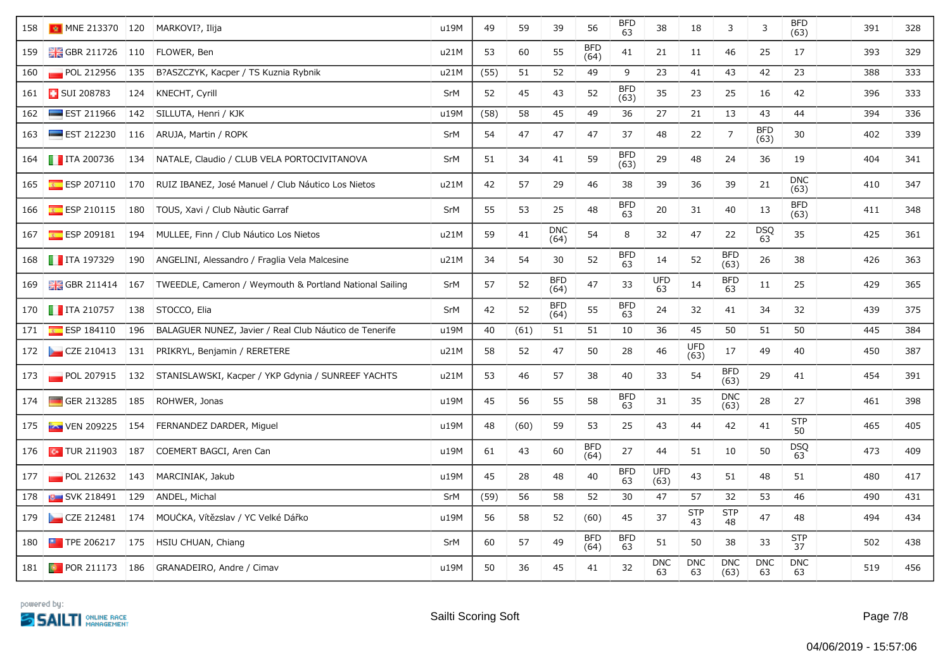|     | 158   MNE 213370   120   MARKOVI?, Ilija |     |                                                                               | u19M       | 49   | 59   | 39                 | 56                 | BFD<br>63          | 38                 | 18                 | 3                  | 3                  | <b>BFD</b><br>(63) | 391 | 328 |
|-----|------------------------------------------|-----|-------------------------------------------------------------------------------|------------|------|------|--------------------|--------------------|--------------------|--------------------|--------------------|--------------------|--------------------|--------------------|-----|-----|
|     | 159   GBR 211726   110   FLOWER, Ben     |     |                                                                               | u21M       | 53   | 60   | 55                 | <b>BFD</b><br>(64) | 41                 | 21                 | 11                 | 46                 | 25                 | 17                 | 393 | 329 |
| 160 | POL 212956                               | 135 | B?ASZCZYK, Kacper / TS Kuznia Rybnik                                          | u21M       | (55) | 51   | 52                 | 49                 | 9                  | 23                 | 41                 | 43                 | 42                 | 23                 | 388 | 333 |
|     | 161 <b>B</b> SUI 208783                  | 124 | KNECHT, Cyrill                                                                | SrM        | 52   | 45   | 43                 | 52                 | <b>BFD</b><br>(63) | 35                 | 23                 | 25                 | 16                 | 42                 | 396 | 333 |
| 162 | $\equiv$ EST 211966                      | 142 | SILLUTA, Henri / KJK                                                          | u19M       | (58) | 58   | 45                 | 49                 | 36                 | 27                 | 21                 | 13                 | 43                 | 44                 | 394 | 336 |
| 163 | $\equiv$ EST 212230                      | 116 | ARUJA, Martin / ROPK                                                          | SrM        | 54   | 47   | 47                 | 47                 | 37                 | 48                 | 22                 | $\overline{7}$     | <b>BFD</b><br>(63) | 30                 | 402 | 339 |
|     | 164 <b>T</b> ITA 200736                  |     | 134 NATALE, Claudio / CLUB VELA PORTOCIVITANOVA                               | <b>SrM</b> | 51   | 34   | 41                 | 59                 | <b>BFD</b><br>(63) | 29                 | 48                 | 24                 | 36                 | 19                 | 404 | 341 |
| 165 | $E$ ESP 207110                           |     | 170 RUIZ IBÁÑEZ, José Manuel / Club Náutico Los Nietos                        | u21M       | 42   | 57   | 29                 | 46                 | 38                 | 39                 | 36                 | 39                 | 21                 | <b>DNC</b><br>(63) | 410 | 347 |
| 166 | $E$ ESP 210115                           | 180 | TOUS, Xavi / Club Nàutic Garraf                                               | SrM        | 55   | 53   | 25                 | 48                 | <b>BFD</b><br>63   | $20\,$             | 31                 | 40                 | 13                 | <b>BFD</b><br>(63) | 411 | 348 |
| 167 |                                          |     | ESP 209181   194   MULLEE, Finn / Club Náutico Los Nietos                     | u21M       | 59   | 41   | <b>DNC</b><br>(64) | 54                 | 8                  | 32                 | 47                 | 22                 | <b>DSQ</b><br>63   | 35                 | 425 | 361 |
|     | 168 <b>T</b> ITA 197329                  |     | 190 ANGELINI, Alessandro / Fraglia Vela Malcesine                             | u21M       | 34   | 54   | 30                 | 52                 | <b>BFD</b><br>63   | 14                 | 52                 | <b>BFD</b><br>(63) | 26                 | 38                 | 426 | 363 |
| 169 |                                          |     | 음동 GBR 211414   167   TWEEDLE, Cameron / Weymouth & Portland National Sailing | SrM        | 57   | 52   | <b>BFD</b><br>(64) | 47                 | 33                 | <b>UFD</b><br>63   | 14                 | <b>BFD</b><br>63   | 11                 | 25                 | 429 | 365 |
|     | 170 <b>T</b> ITA 210757                  | 138 | STOCCO, Elia                                                                  | SrM        | 42   | 52   | <b>BFD</b><br>(64) | 55                 | <b>BFD</b><br>63   | 24                 | 32                 | 41                 | 34                 | 32                 | 439 | 375 |
| 171 | ESP 184110                               | 196 | BALAGUER NÚÑEZ, Javier / Real Club Náutico de Tenerife                        | u19M       | 40   | (61) | 51                 | 51                 | 10                 | 36                 | 45                 | 50                 | 51                 | 50                 | 445 | 384 |
|     |                                          |     | 172   CZE 210413   131   PRIKRYL, Benjamin / RERETERE                         | u21M       | 58   | 52   | 47                 | 50                 | 28                 | 46                 | <b>UFD</b><br>(63) | 17                 | 49                 | 40                 | 450 | 387 |
| 173 |                                          |     | POL 207915 132 STANISLAWSKI, Kacper / YKP Gdynia / SUNREEF YACHTS             | u21M       | 53   | 46   | 57                 | 38                 | 40                 | 33                 | 54                 | <b>BFD</b><br>(63) | 29                 | 41                 | 454 | 391 |
|     | 174 GER 213285 185 ROHWER, Jonas         |     |                                                                               | u19M       | 45   | 56   | 55                 | 58                 | <b>BFD</b><br>63   | 31                 | 35                 | <b>DNC</b><br>(63) | 28                 | 27                 | 461 | 398 |
|     |                                          |     | 175 <b>Ex.</b> VEN 209225 154 FERNANDEZ DARDER, Miguel                        | u19M       | 48   | (60) | 59                 | 53                 | 25                 | 43                 | 44                 | 42                 | 41                 | <b>STP</b><br>50   | 465 | 405 |
| 176 |                                          |     | <b>C</b> TUR 211903 187 COEMERT BAGCI, Aren Can                               | u19M       | 61   | 43   | 60                 | <b>BFD</b><br>(64) | 27                 | 44                 | 51                 | 10                 | 50                 | <b>DSQ</b><br>63   | 473 | 409 |
| 177 | POL 212632 143                           |     | MARCINIAK, Jakub                                                              | u19M       | 45   | 28   | 48                 | 40                 | <b>BFD</b><br>63   | <b>UFD</b><br>(63) | 43                 | 51                 | 48                 | 51                 | 480 | 417 |
| 178 | <b>B</b> SVK 218491                      | 129 | ANDEL, Michal                                                                 | SrM        | (59) | 56   | 58                 | 52                 | 30                 | 47                 | 57                 | 32                 | 53                 | 46                 | 490 | 431 |
|     |                                          |     | 179 CZE 212481 174 MOUČKA, Vítězslav / YC Velké Dářko                         | u19M       | 56   | 58   | 52                 | (60)               | 45                 | 37                 | <b>STP</b><br>43   | <b>STP</b><br>48   | 47                 | 48                 | 494 | 434 |
| 180 |                                          |     | $\blacksquare$ TPE 206217 175 HSIU CHUAN, Chiang                              | SrM        | 60   | 57   | 49                 | <b>BFD</b><br>(64) | <b>BFD</b><br>63   | 51                 | 50                 | 38                 | 33                 | <b>STP</b><br>37   | 502 | 438 |
|     |                                          |     | 181   <b>D.</b> POR 211173   186   GRANADEIRO, Andre / Cimav                  | u19M       | 50   | 36   | 45                 | 41                 | 32                 | <b>DNC</b><br>63   | <b>DNC</b><br>63   | <b>DNC</b><br>(63) | <b>DNC</b><br>63   | <b>DNC</b><br>63   | 519 | 456 |